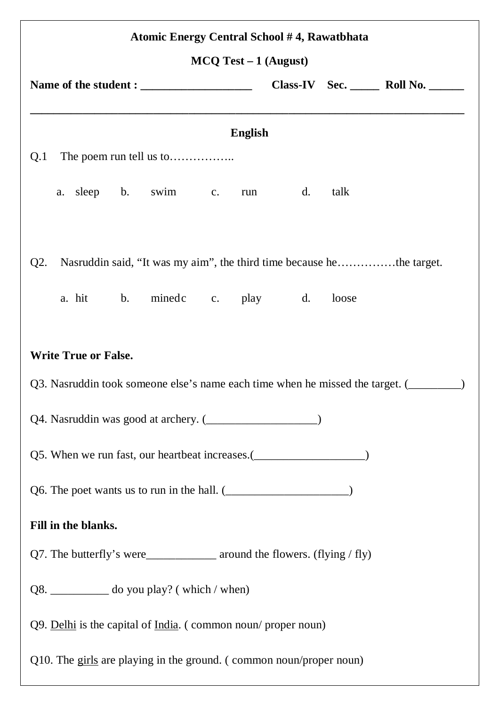| Atomic Energy Central School #4, Rawatbhata                                               |    |       |  |  |  |  |  |  |  |
|-------------------------------------------------------------------------------------------|----|-------|--|--|--|--|--|--|--|
| $MCQ Test - 1$ (August)                                                                   |    |       |  |  |  |  |  |  |  |
|                                                                                           |    |       |  |  |  |  |  |  |  |
| <b>English</b>                                                                            |    |       |  |  |  |  |  |  |  |
| Q.1                                                                                       |    |       |  |  |  |  |  |  |  |
| a. sleep b. swim c.<br>run                                                                | d. | talk  |  |  |  |  |  |  |  |
|                                                                                           |    |       |  |  |  |  |  |  |  |
| Nasruddin said, "It was my aim", the third time because hethe target.<br>Q2.              |    |       |  |  |  |  |  |  |  |
| a. hit b. minedc c. play d.                                                               |    | loose |  |  |  |  |  |  |  |
|                                                                                           |    |       |  |  |  |  |  |  |  |
| <b>Write True or False.</b>                                                               |    |       |  |  |  |  |  |  |  |
| Q3. Nasruddin took someone else's name each time when he missed the target. (             |    |       |  |  |  |  |  |  |  |
| Q4. Nasruddin was good at archery. (_____________________)                                |    |       |  |  |  |  |  |  |  |
| Q5. When we run fast, our heartbeat increases.( <i>____________________</i> _____________ |    |       |  |  |  |  |  |  |  |
|                                                                                           |    |       |  |  |  |  |  |  |  |
| Fill in the blanks.                                                                       |    |       |  |  |  |  |  |  |  |
|                                                                                           |    |       |  |  |  |  |  |  |  |
| Q8. ____________ do you play? (which / when)                                              |    |       |  |  |  |  |  |  |  |
| $Q9.$ Delhi is the capital of India. (common noun/proper noun)                            |    |       |  |  |  |  |  |  |  |
| Q10. The girls are playing in the ground. (common noun/proper noun)                       |    |       |  |  |  |  |  |  |  |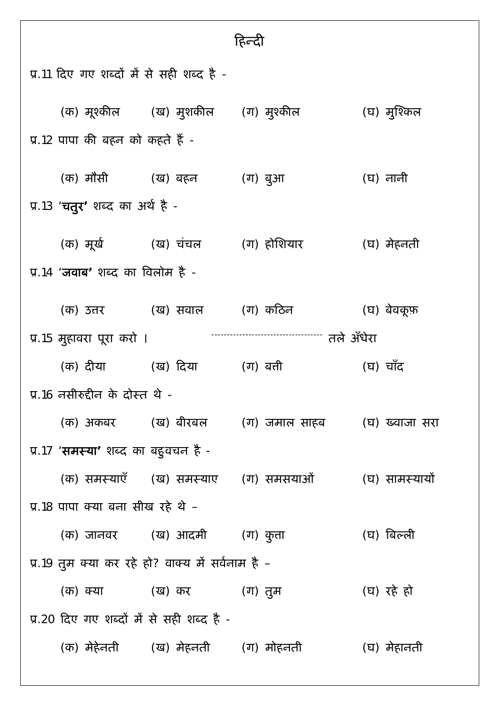| प्र.11 दिए गए शब्दों में से सही शब्द है -                                   |                                          |                                              |                                                                     |             |  |  |  |  |  |
|-----------------------------------------------------------------------------|------------------------------------------|----------------------------------------------|---------------------------------------------------------------------|-------------|--|--|--|--|--|
|                                                                             |                                          |                                              | (क) मूश्कील       (ख) मुशकील     (ग) मुश्कील                        | (घ) मुश्किल |  |  |  |  |  |
| प्र.12 पापा की बहन को कहते हैं -                                            |                                          |                                              |                                                                     |             |  |  |  |  |  |
|                                                                             |                                          | (क) मौसी        (ख) बहन                      | (ग) बुआ                                                             | (घ) नानी    |  |  |  |  |  |
| प्र.13 ' <b>चतुर'</b> शब्द का अर्थ है -                                     |                                          |                                              |                                                                     |             |  |  |  |  |  |
|                                                                             |                                          | (क) मूर्ख (ख) चंचल (ग) होशियार               |                                                                     | (घ) मेहनती  |  |  |  |  |  |
|                                                                             | प्र.14 ' <b>जवाब'</b> शब्द का विलोम है - |                                              |                                                                     |             |  |  |  |  |  |
|                                                                             |                                          | (क) उत्तर           (ख) सवाल        (ग) कठिन |                                                                     | (घ) बेवकूफ़ |  |  |  |  |  |
| ----------------------------------- तले ॲंधेरा<br>प्र 15 मुहावरा पूरा करो । |                                          |                                              |                                                                     |             |  |  |  |  |  |
|                                                                             |                                          | (क) दीया         (ख) दिया         (ग) बत्ती  |                                                                     | (घ) चाँद    |  |  |  |  |  |
| प्र.16 नसीरुद्दीन के दोस्त थे -                                             |                                          |                                              |                                                                     |             |  |  |  |  |  |
|                                                                             |                                          |                                              | (क) अकबर       (ख) बीरबल       (ग) जमाल साहब         (घ) ख्वाजा सरा |             |  |  |  |  |  |
| प्र.17 ' <b>समस्या</b> ' शब्द का बहुवचन है -                                |                                          |                                              |                                                                     |             |  |  |  |  |  |
|                                                                             |                                          |                                              | (क) समस्याएँ (ख) समस्याएँ (ग) समसयाओं (घ) सामस्यायो                 |             |  |  |  |  |  |
| प्र.18 पापा क्या बना सीख रहे थे –                                           |                                          |                                              |                                                                     |             |  |  |  |  |  |
|                                                                             |                                          | (क) जानवर (ख) आदमी (ग) कुत्ता                |                                                                     | (घ) बिल्ली  |  |  |  |  |  |
| प्र.19 तुम क्या कर रहे हो? वाक्य में सर्वनाम है –                           |                                          |                                              |                                                                     |             |  |  |  |  |  |
|                                                                             |                                          | (क) क्या         (ख) कर         (ग) तुम      |                                                                     | (घ) रहे हो  |  |  |  |  |  |
| प्र.20 दिए गए शब्दों में से सही शब्द है -                                   |                                          |                                              |                                                                     |             |  |  |  |  |  |
|                                                                             |                                          | (क) मेहेनती      (ख) मेहनती     (ग) मोहनती   |                                                                     | (घ) मेहानती |  |  |  |  |  |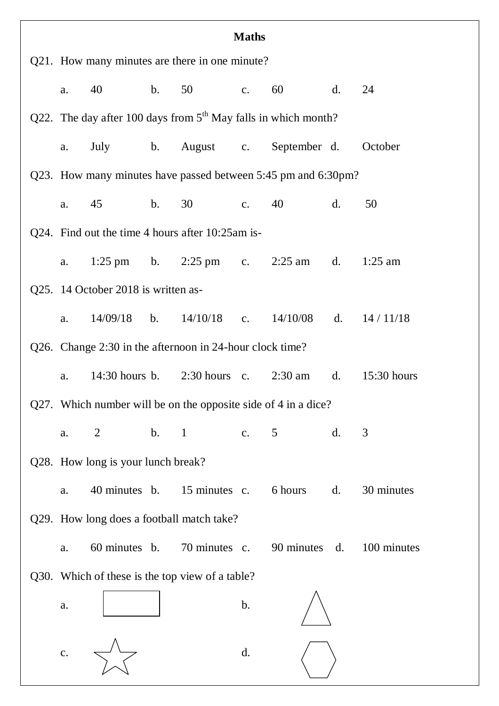| <b>Maths</b>                                                     |                                             |                |                             |                |                                                     |                |             |  |
|------------------------------------------------------------------|---------------------------------------------|----------------|-----------------------------|----------------|-----------------------------------------------------|----------------|-------------|--|
| Q21. How many minutes are there in one minute?                   |                                             |                |                             |                |                                                     |                |             |  |
| a.                                                               |                                             |                | b. 50 c.                    |                | 60                                                  | d.             | 24          |  |
| Q22. The day after 100 days from $5th$ May falls in which month? |                                             |                |                             |                |                                                     |                |             |  |
| a.                                                               |                                             |                |                             |                | July b. August c. September d. October              |                |             |  |
| Q23. How many minutes have passed between 5:45 pm and 6:30pm?    |                                             |                |                             |                |                                                     |                |             |  |
| a.                                                               |                                             |                | 45 b. 30 c. 40              |                |                                                     | d.             | 50          |  |
| Q24. Find out the time 4 hours after 10:25am is-                 |                                             |                |                             |                |                                                     |                |             |  |
|                                                                  | a. 1:25 pm b. 2:25 pm c. 2:25 am d. 1:25 am |                |                             |                |                                                     |                |             |  |
|                                                                  | Q25. 14 October 2018 is written as-         |                |                             |                |                                                     |                |             |  |
| a.                                                               |                                             |                | $14/09/18$ b. $14/10/18$ c. |                | 14/10/08 d. 14/11/18                                |                |             |  |
| Q26. Change 2:30 in the afternoon in 24-hour clock time?         |                                             |                |                             |                |                                                     |                |             |  |
| a.                                                               |                                             |                |                             |                | 14:30 hours b. 2:30 hours c. 2:30 am d. 15:30 hours |                |             |  |
| Q27. Which number will be on the opposite side of 4 in a dice?   |                                             |                |                             |                |                                                     |                |             |  |
| a.                                                               | $\overline{2}$                              | $\mathbf{b}$ . | $\mathbf{1}$                | $\mathbf{c}$ . | 5                                                   | $\mathbf{d}$ . | 3           |  |
| Q28. How long is your lunch break?                               |                                             |                |                             |                |                                                     |                |             |  |
| a.                                                               | 40 minutes b.                               |                | 15 minutes c.               |                | 6 hours                                             | $\mathbf{d}$ . | 30 minutes  |  |
| Q29. How long does a football match take?                        |                                             |                |                             |                |                                                     |                |             |  |
| a.                                                               | 60 minutes b.                               |                | 70 minutes c.               |                | 90 minutes d.                                       |                | 100 minutes |  |
| Q30. Which of these is the top view of a table?                  |                                             |                |                             |                |                                                     |                |             |  |
| a.                                                               |                                             |                |                             | $\mathbf b$ .  |                                                     |                |             |  |
| $\mathbf{C}$ .                                                   |                                             |                |                             | d.             |                                                     |                |             |  |